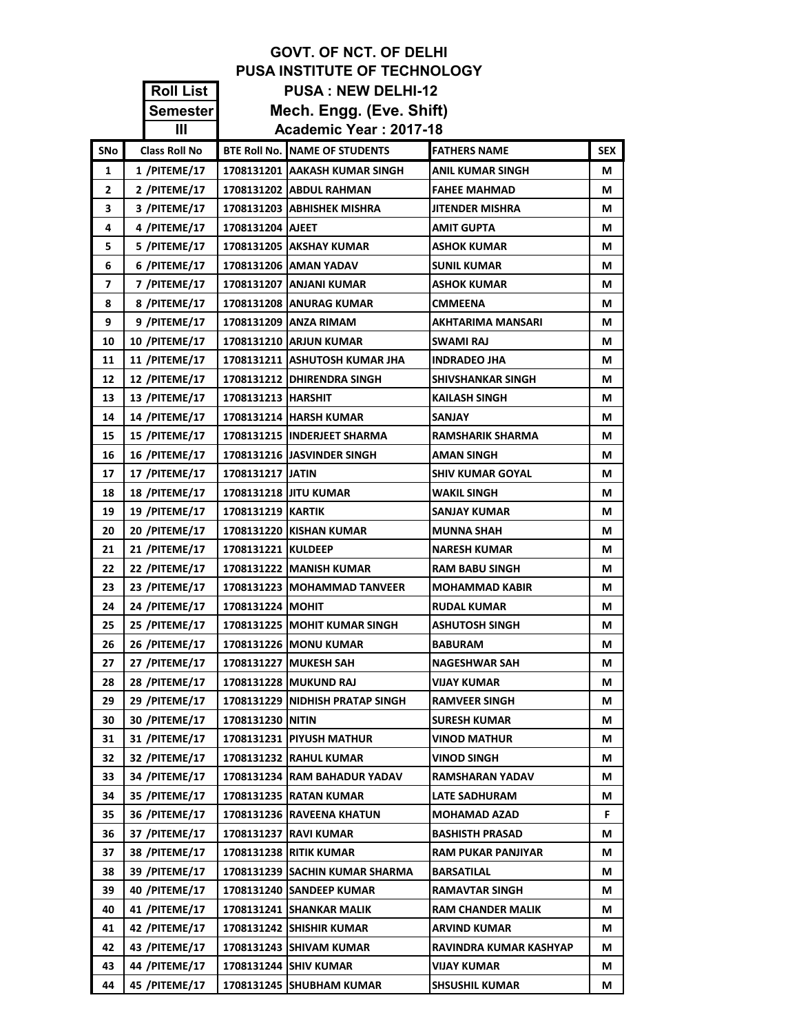|                | <b>PUSA INSTITUTE OF TECHNOLOGY</b>           |                      |                                                           |                                       |            |  |
|----------------|-----------------------------------------------|----------------------|-----------------------------------------------------------|---------------------------------------|------------|--|
|                | <b>Roll List</b><br><b>PUSA: NEW DELHI-12</b> |                      |                                                           |                                       |            |  |
|                | Semester                                      |                      | Mech. Engg. (Eve. Shift)                                  |                                       |            |  |
|                | Ш                                             |                      | Academic Year: 2017-18                                    |                                       |            |  |
| <b>SNo</b>     | <b>Class Roll No</b>                          |                      | <b>BTE Roll No. NAME OF STUDENTS</b>                      | <b>FATHERS NAME</b>                   | <b>SEX</b> |  |
| 1              | 1 /PITEME/17                                  |                      | 1708131201   AAKASH KUMAR SINGH                           | <b>ANIL KUMAR SINGH</b>               | М          |  |
| $\overline{2}$ | 2 /PITEME/17                                  |                      | 1708131202 ABDUL RAHMAN                                   | <b>FAHEE MAHMAD</b>                   | М          |  |
| 3              | 3 /PITEME/17                                  |                      | 1708131203 ABHISHEK MISHRA                                | <b>JITENDER MISHRA</b>                | М          |  |
| 4              | 4 /PITEME/17                                  | 1708131204 AJEET     |                                                           | <b>AMIT GUPTA</b>                     | М          |  |
| 5              | 5 /PITEME/17                                  |                      | 1708131205   AKSHAY KUMAR                                 | <b>ASHOK KUMAR</b>                    | М          |  |
| 6              | 6 /PITEME/17                                  |                      | 1708131206 AMAN YADAV                                     | <b>SUNIL KUMAR</b>                    | М          |  |
| 7              | 7 /PITEME/17                                  |                      | 1708131207   ANJANI KUMAR                                 | <b>ASHOK KUMAR</b>                    | М          |  |
| 8              | 8 /PITEME/17                                  |                      | <b>1708131208 ANURAG KUMAR</b>                            | <b>CMMEENA</b>                        | М          |  |
| 9              | 9 /PITEME/17                                  |                      | 1708131209   ANZA RIMAM                                   | <b>AKHTARIMA MANSARI</b>              | М          |  |
| 10             | 10 /PITEME/17                                 |                      | 1708131210 ARJUN KUMAR                                    | SWAMI RAJ                             | М          |  |
| 11             | 11 /PITEME/17                                 |                      | 1708131211   ASHUTOSH KUMAR JHA                           | <b>INDRADEO JHA</b>                   | М          |  |
| 12             | 12 /PITEME/17                                 |                      | 1708131212   DHIRENDRA SINGH                              | <b>SHIVSHANKAR SINGH</b>              | М          |  |
| 13             | 13 /PITEME/17                                 | 1708131213   HARSHIT |                                                           | <b>KAILASH SINGH</b>                  | М          |  |
| 14             | 14 / PITEME/17                                |                      | 1708131214 HARSH KUMAR                                    | <b>SANJAY</b>                         | М          |  |
| 15             | <b>15 /PITEME/17</b>                          |                      | 1708131215 IINDERJEET SHARMA                              | <b>RAMSHARIK SHARMA</b>               | М          |  |
| 16             | 16 /PITEME/17                                 |                      | 1708131216 JASVINDER SINGH                                | <b>AMAN SINGH</b>                     | М          |  |
| 17             | 17 /PITEME/17                                 | 1708131217 JATIN     |                                                           | <b>SHIV KUMAR GOYAL</b>               | М          |  |
| 18             | <b>18 /PITEME/17</b>                          |                      | 1708131218 JITU KUMAR                                     | <b>WAKIL SINGH</b>                    | М          |  |
| 19             | 19 /PITEME/17                                 | 1708131219 KARTIK    |                                                           | <b>SANJAY KUMAR</b>                   | М          |  |
| 20             | <b>20 /PITEME/17</b>                          |                      | 1708131220 KISHAN KUMAR                                   | <b>MUNNA SHAH</b>                     | М          |  |
| 21             | <b>21 /PITEME/17</b>                          | 1708131221 KULDEEP   |                                                           | <b>NARESH KUMAR</b>                   | М          |  |
| 22             | 22 /PITEME/17                                 |                      | 1708131222   MANISH KUMAR                                 | <b>RAM BABU SINGH</b>                 | М          |  |
| 23             | 23 /PITEME/17                                 |                      | 1708131223 MOHAMMAD TANVEER                               | <b>MOHAMMAD KABIR</b>                 | М          |  |
| 24             | 24 /PITEME/17                                 | 1708131224   MOHIT   |                                                           | <b>RUDAL KUMAR</b>                    | М          |  |
| 25             | 25 /PITEME/17                                 |                      | 1708131225 MOHIT KUMAR SINGH                              | <b>ASHUTOSH SINGH</b>                 | М          |  |
| 26             | 26 /PITEME/17                                 |                      | 1708131226 MONU KUMAR                                     | <b>BABURAM</b>                        | М          |  |
| 27             | 27 /PITEME/17                                 |                      | 1708131227 MUKESH SAH                                     | <b>NAGESHWAR SAH</b>                  | М          |  |
| 28             | <b>28 /PITEME/17</b>                          |                      | 1708131228 MUKUND RAJ                                     | VIJAY KUMAR                           | М          |  |
| 29             | 29 /PITEME/17                                 |                      | 1708131229 INIDHISH PRATAP SINGH                          | <b>RAMVEER SINGH</b>                  | М          |  |
| 30             | 30 /PITEME/17                                 | 1708131230 NITIN     |                                                           | <b>SURESH KUMAR</b>                   | М          |  |
| 31<br>32       | 31 /PITEME/17<br>32 /PITEME/17                |                      | <b>1708131231 PIYUSH MATHUR</b><br>1708131232 RAHUL KUMAR | VINOD MATHUR                          | М<br>М     |  |
| 33             | 34 /PITEME/17                                 |                      | 1708131234 RAM BAHADUR YADAV                              | VINOD SINGH<br><b>RAMSHARAN YADAV</b> | М          |  |
| 34             | 35 /PITEME/17                                 |                      | <b>1708131235 RATAN KUMAR</b>                             | <b>LATE SADHURAM</b>                  | М          |  |
| 35             | 36 /PITEME/17                                 |                      | 1708131236 RAVEENA KHATUN                                 | <b>MOHAMAD AZAD</b>                   | F.         |  |
| 36             | 37 /PITEME/17                                 |                      | 1708131237 RAVI KUMAR                                     | <b>BASHISTH PRASAD</b>                | М          |  |
| 37             | 38 /PITEME/17                                 |                      | 1708131238 RITIK KUMAR                                    | <b>RAM PUKAR PANJIYAR</b>             | М          |  |
| 38             | 39 /PITEME/17                                 |                      | 1708131239   SACHIN KUMAR SHARMA                          | <b>BARSATILAL</b>                     | М          |  |
| 39             | 40 /PITEME/17                                 |                      | 1708131240 SANDEEP KUMAR                                  | <b>RAMAVTAR SINGH</b>                 | М          |  |
| 40             | 41 /PITEME/17                                 |                      | 1708131241 SHANKAR MALIK                                  | <b>RAM CHANDER MALIK</b>              | М          |  |
| 41             | 42 /PITEME/17                                 |                      | 1708131242 SHISHIR KUMAR                                  | <b>ARVIND KUMAR</b>                   | М          |  |
| 42             | 43 /PITEME/17                                 |                      | 1708131243 SHIVAM KUMAR                                   | RAVINDRA KUMAR KASHYAP                | М          |  |
| 43             | 44 /PITEME/17                                 |                      | 1708131244 SHIV KUMAR                                     | VIJAY KUMAR                           | М          |  |
| 44             | 45 /PITEME/17                                 |                      | 1708131245 SHUBHAM KUMAR                                  | <b>SHSUSHIL KUMAR</b>                 | М          |  |

**GOVT. OF NCT. OF DELHI**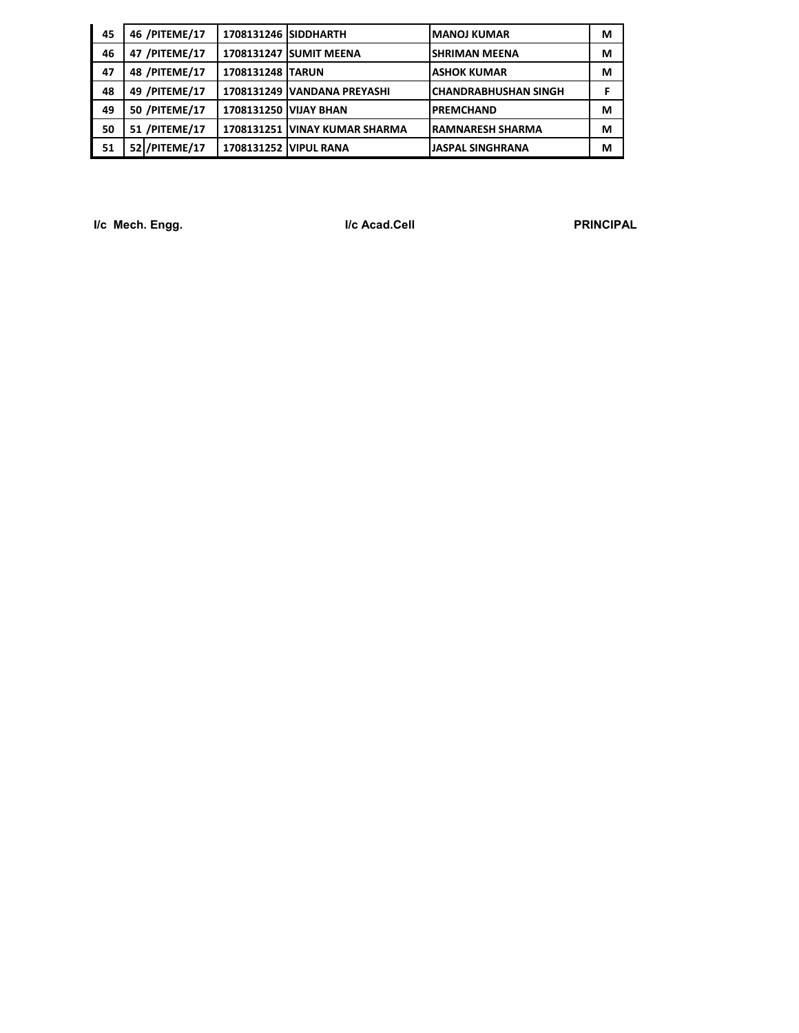| 45 | 46 /PITEME/17        | 1708131246 SIDDHARTH         |                               | <b>MANOJ KUMAR</b>          | м |
|----|----------------------|------------------------------|-------------------------------|-----------------------------|---|
| 46 | 47 /PITEME/17        |                              | 1708131247 SUMIT MEENA        | <b>SHRIMAN MEENA</b>        | М |
| 47 | 48 /PITEME/17        | 1708131248 TARUN             |                               | <b>ASHOK KUMAR</b>          | М |
| 48 | 49 /PITEME/17        |                              | 1708131249 VANDANA PREYASHI   | <b>CHANDRABHUSHAN SINGH</b> |   |
| 49 | <b>50 /PITEME/17</b> | <b>1708131250 VIJAY BHAN</b> |                               | <b>PREMCHAND</b>            | М |
| 50 | 51 /PITEME/17        |                              | 1708131251 VINAY KUMAR SHARMA | <b>RAMNARESH SHARMA</b>     | м |
| 51 | 52 / PITEME/17       |                              | 1708131252 VIPUL RANA         | <b>JASPAL SINGHRANA</b>     | м |

**I/c Mech. Engg. I/c Acad.Cell PRINCIPAL**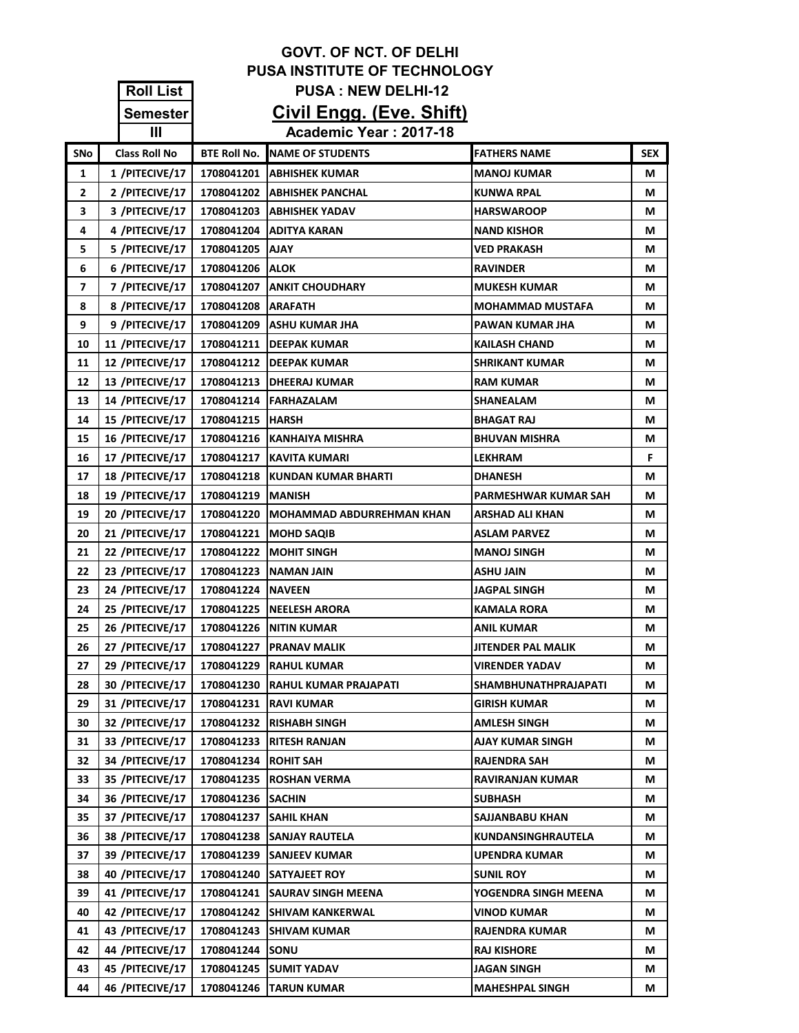|     |                      |                      | <b>GOVT. OF NCT. OF DELHI</b>       |                             |            |
|-----|----------------------|----------------------|-------------------------------------|-----------------------------|------------|
|     |                      |                      | <b>PUSA INSTITUTE OF TECHNOLOGY</b> |                             |            |
|     | <b>Roll List</b>     |                      | <b>PUSA: NEW DELHI-12</b>           |                             |            |
|     | Semester             |                      | Civil Engg. (Eve. Shift)            |                             |            |
|     | Ш                    |                      | Academic Year: 2017-18              |                             |            |
| SNo | <b>Class Roll No</b> | <b>BTE Roll No.</b>  | NAME OF STUDENTS                    | <b>FATHERS NAME</b>         | <b>SEX</b> |
| 1   | 1 /PITECIVE/17       | 1708041201           | <b>ABHISHEK KUMAR</b>               | <b>MANOJ KUMAR</b>          | М          |
| 2   | 2 /PITECIVE/17       |                      | 1708041202   ABHISHEK PANCHAL       | <b>KUNWA RPAL</b>           | М          |
| 3   | 3 /PITECIVE/17       |                      | 1708041203   ABHISHEK YADAV         | <b>HARSWAROOP</b>           | М          |
| 4   | 4 /PITECIVE/17       |                      | 1708041204 ADITYA KARAN             | <b>NAND KISHOR</b>          | М          |
| 5   | 5 /PITECIVE/17       | 1708041205           | <b>AJAY</b>                         | <b>VED PRAKASH</b>          | М          |
| 6   | 6 /PITECIVE/17       | 1708041206           | <b>ALOK</b>                         | <b>RAVINDER</b>             | М          |
| 7   | 7 /PITECIVE/17       |                      | 1708041207   ANKIT CHOUDHARY        | <b>MUKESH KUMAR</b>         | М          |
| 8   | 8 /PITECIVE/17       | 1708041208   ARAFATH |                                     | <b>MOHAMMAD MUSTAFA</b>     | М          |
| 9   | 9 /PITECIVE/17       |                      | 1708041209 ASHU KUMAR JHA           | PAWAN KUMAR JHA             | М          |
| 10  | 11 /PITECIVE/17      |                      | 1708041211 DEEPAK KUMAR             | <b>KAILASH CHAND</b>        | М          |
| 11  | 12 /PITECIVE/17      |                      | 1708041212   DEEPAK KUMAR           | <b>SHRIKANT KUMAR</b>       | М          |
| 12  | 13 /PITECIVE/17      |                      | 1708041213   DHEERAJ KUMAR          | <b>RAM KUMAR</b>            | М          |
| 13  | 14 /PITECIVE/17      |                      | 1708041214 FARHAZALAM               | <b>SHANEALAM</b>            | М          |
| 14  | 15 /PITECIVE/17      | 1708041215   HARSH   |                                     | <b>BHAGAT RAJ</b>           | М          |
| 15  | 16 /PITECIVE/17      |                      | 1708041216   KANHAIYA MISHRA        | <b>BHUVAN MISHRA</b>        | М          |
| 16  | 17 /PITECIVE/17      |                      | 1708041217 KAVITA KUMARI            | <b>LEKHRAM</b>              | F.         |
| 17  | 18 /PITECIVE/17      |                      | 1708041218 KUNDAN KUMAR BHARTI      | <b>DHANESH</b>              | М          |
| 18  | 19 /PITECIVE/17      | 1708041219   MANISH  |                                     | PARMESHWAR KUMAR SAH        | М          |
| 19  | 20 /PITECIVE/17      | 1708041220           | <b>IMOHAMMAD ABDURREHMAN KHAN</b>   | ARSHAD ALI KHAN             | М          |
| 20  | 21 /PITECIVE/17      |                      | 1708041221   MOHD SAQIB             | <b>ASLAM PARVEZ</b>         | М          |
| 21  | 22 /PITECIVE/17      |                      | 1708041222   MOHIT SINGH            | <b>MANOJ SINGH</b>          | М          |
| 22  | 23 /PITECIVE/17      | 1708041223           | <b>NAMAN JAIN</b>                   | <b>ASHU JAIN</b>            | М          |
| 23  | 24 /PITECIVE/17      | 1708041224   NAVEEN  |                                     | <b>JAGPAL SINGH</b>         | М          |
| 24  | 25 /PITECIVE/17      |                      | 1708041225   NEELESH ARORA          | <b>KAMALA RORA</b>          | М          |
| 25  | 26 /PITECIVE/17      |                      | 1708041226   NITIN KUMAR            | <b>ANIL KUMAR</b>           | М          |
| 26  | 27 /PITECIVE/17      | 1708041227           | <b>PRANAV MALIK</b>                 | JITENDER PAL MALIK          | М          |
| 27  | 29 /PITECIVE/17      | 1708041229           | <b>RAHUL KUMAR</b>                  | <b>VIRENDER YADAV</b>       | M          |
| 28  | 30 /PITECIVE/17      | 1708041230           | <b>RAHUL KUMAR PRAJAPATI</b>        | <b>SHAMBHUNATHPRAJAPATI</b> | М          |
| 29  | 31 /PITECIVE/17      | 1708041231           | <b>RAVI KUMAR</b>                   | <b>GIRISH KUMAR</b>         | М          |
| 30  | 32 /PITECIVE/17      | 1708041232           | <b>RISHABH SINGH</b>                | AMLESH SINGH                | М          |
| 31  | 33 /PITECIVE/17      | 1708041233           | RITESH RANJAN                       | AJAY KUMAR SINGH            | М          |
| 32  | 34 /PITECIVE/17      | 1708041234           | <b>ROHIT SAH</b>                    | <b>RAJENDRA SAH</b>         | М          |
| 33  | 35 /PITECIVE/17      |                      | 1708041235 ROSHAN VERMA             | <b>RAVIRANJAN KUMAR</b>     | М          |
| 34  | 36 /PITECIVE/17      | 1708041236           | <b>SACHIN</b>                       | <b>SUBHASH</b>              | М          |
| 35  | 37 /PITECIVE/17      | 1708041237           | <b>SAHIL KHAN</b>                   | SAJJANBABU KHAN             | М          |
| 36  | 38 /PITECIVE/17      | 1708041238           | <b>SANJAY RAUTELA</b>               | KUNDANSINGHRAUTELA          | М          |
| 37  | 39 /PITECIVE/17      | 1708041239           | <b>SANJEEV KUMAR</b>                | <b>UPENDRA KUMAR</b>        | М          |
| 38  | 40 /PITECIVE/17      | 1708041240           | <b>SATYAJEET ROY</b>                | <b>SUNIL ROY</b>            | М          |
| 39  | 41 /PITECIVE/17      | 1708041241           | <b>SAURAV SINGH MEENA</b>           | YOGENDRA SINGH MEENA        | M          |
| 40  | 42 /PITECIVE/17      | 1708041242           | <b>SHIVAM KANKERWAL</b>             | <b>VINOD KUMAR</b>          | М          |
| 41  | 43 /PITECIVE/17      | 1708041243           | <b>SHIVAM KUMAR</b>                 | <b>RAJENDRA KUMAR</b>       | М          |
| 42  | 44 /PITECIVE/17      | 1708041244           | SONU                                | <b>RAJ KISHORE</b>          | М          |
| 43  | 45 /PITECIVE/17      | 1708041245           | <b>SUMIT YADAV</b>                  | JAGAN SINGH                 | М          |
| 44  | 46 /PITECIVE/17      | 1708041246           | <b>TARUN KUMAR</b>                  | <b>MAHESHPAL SINGH</b>      | М          |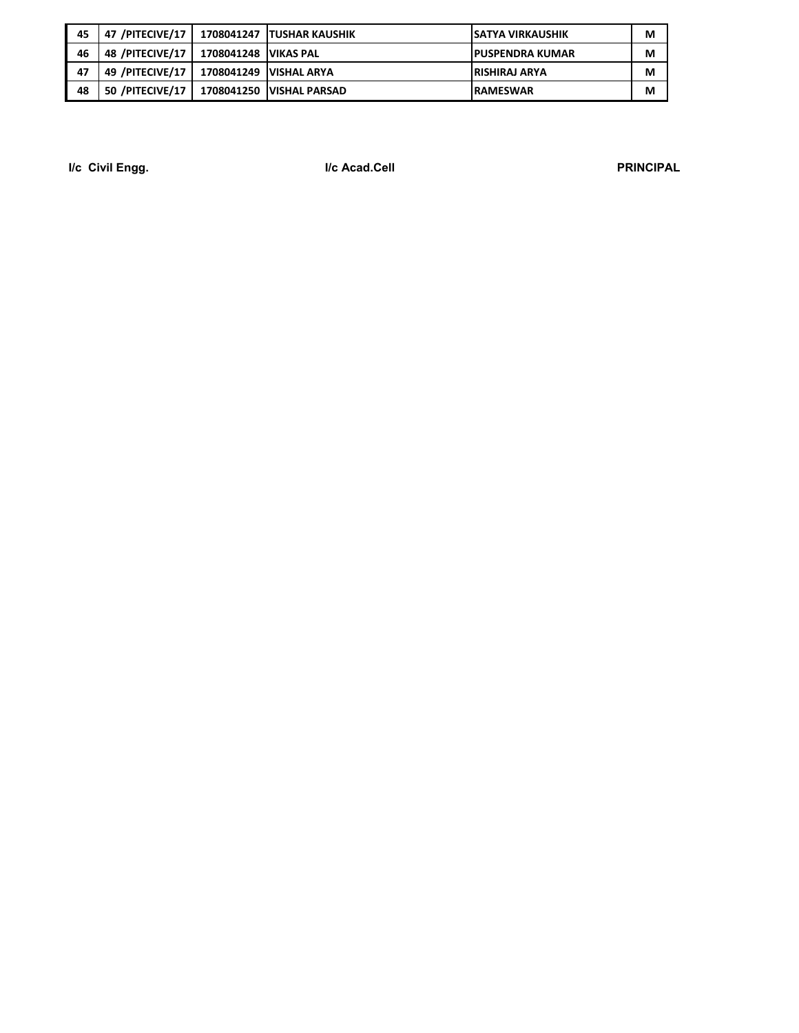| 45 | 47 /PITECIVE/17   |                          | 1708041247 TUSHAR KAUSHIK  | <b>SATYA VIRKAUSHIK</b> | M |
|----|-------------------|--------------------------|----------------------------|-------------------------|---|
| 46 | 48 /PITECIVE/17   | 1708041248   VIKAS PAL   |                            | <b>IPUSPENDRA KUMAR</b> | M |
| 47 | 49 /PITECIVE/17   | 1708041249   VISHAL ARYA |                            | <b>IRISHIRAJ ARYA</b>   | М |
| 48 | 50 /PITECIVE/17 L |                          | 1708041250   VISHAL PARSAD | <b>IRAMESWAR</b>        | м |

**I/c Civil Engg. I/c Acad.Cell PRINCIPAL**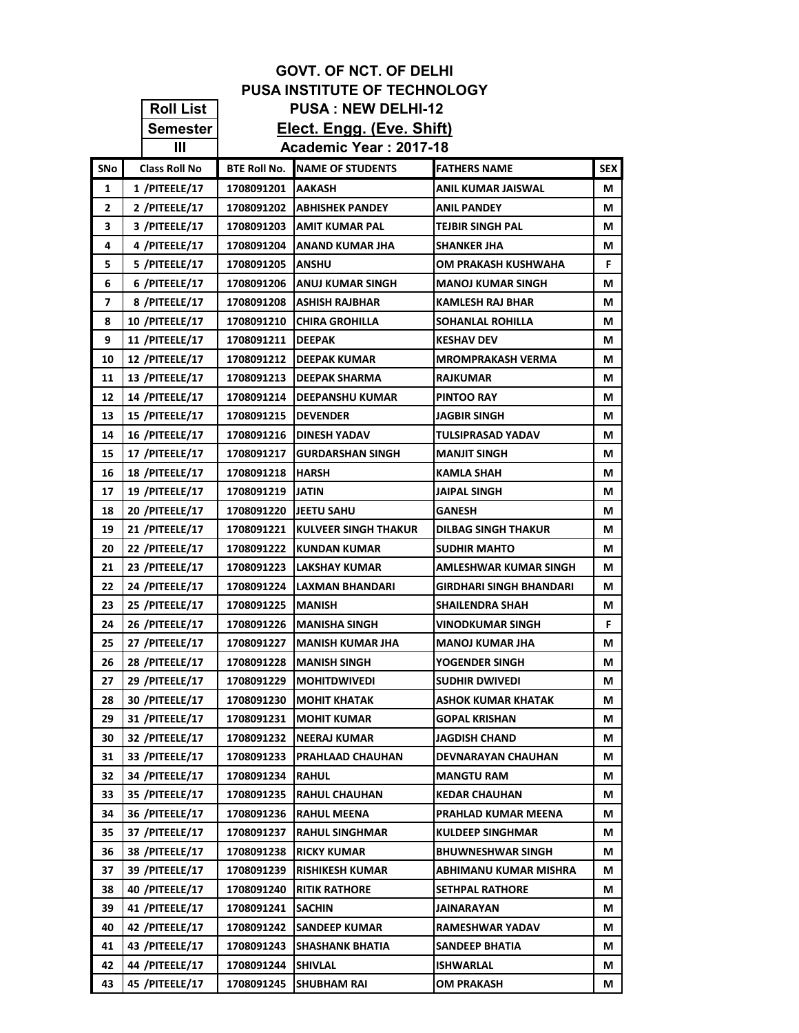|          |                                  |                          | <b>GOVT. OF NCT. OF DELHI</b>              |                                      |            |
|----------|----------------------------------|--------------------------|--------------------------------------------|--------------------------------------|------------|
|          |                                  |                          | <b>PUSA INSTITUTE OF TECHNOLOGY</b>        |                                      |            |
|          | <b>Roll List</b>                 |                          | <b>PUSA: NEW DELHI-12</b>                  |                                      |            |
|          | <b>Semester</b>                  |                          | Elect. Engg. (Eve. Shift)                  |                                      |            |
|          | $\mathbf{III}$                   |                          | Academic Year: 2017-18                     |                                      |            |
| SNo      | <b>Class Roll No</b>             | <b>BTE Roll No.</b>      | <b>NAME OF STUDENTS</b>                    | <b>FATHERS NAME</b>                  | <b>SEX</b> |
| 1        | 1 /PITEELE/17                    | 1708091201               | <b>IAAKASH</b>                             | ANIL KUMAR JAISWAL                   | М          |
| 2        | 2 /PITEELE/17                    | 1708091202               | <b>JABHISHEK PANDEY</b>                    | ANIL PANDEY                          | М          |
| 3        | 3 /PITEELE/17                    | 1708091203               | <b>AMIT KUMAR PAL</b>                      | TEJBIR SINGH PAL                     | М          |
| 4        | 4 /PITEELE/17                    | 1708091204               | <b>ANAND KUMAR JHA</b>                     | SHANKER JHA                          | М          |
| 5        | 5 /PITEELE/17                    | 1708091205               | <b>IANSHU</b>                              | OM PRAKASH KUSHWAHA                  | F.         |
| 6        | 6 /PITEELE/17                    | 1708091206               | <b>JANUJ KUMAR SINGH</b>                   | MANOJ KUMAR SINGH                    | М          |
| 7        | 8 /PITEELE/17                    | 1708091208               | <b>ASHISH RAJBHAR</b>                      | KAMLESH RAJ BHAR                     | М          |
| 8        | <b>10 /PITEELE/17</b>            | 1708091210               | <b>ICHIRA GROHILLA</b>                     | SOHANLAL ROHILLA                     | М          |
| 9        | <b>11 /PITEELE/17</b>            | 1708091211               | <b>IDEEPAK</b>                             | <b>KESHAV DEV</b>                    | М          |
| 10       | 12 /PITEELE/17                   | 1708091212               | <b>IDEEPAK KUMAR</b>                       | MROMPRAKASH VERMA                    | М          |
| 11       | 13 /PITEELE/17                   | 1708091213               | <b>IDEEPAK SHARMA</b>                      | <b>RAJKUMAR</b>                      | М          |
| 12       | 14 /PITEELE/17                   | 1708091214               | <b>IDEEPANSHU KUMAR</b>                    | <b>PINTOO RAY</b>                    | М          |
| 13       | 15 /PITEELE/17                   | 1708091215               | <b>IDEVENDER</b>                           | JAGBIR SINGH                         | М          |
| 14       | <b>16 /PITEELE/17</b>            | 1708091216               | <b>IDINESH YADAV</b>                       | TULSIPRASAD YADAV                    | М          |
| 15       | 17 /PITEELE/17                   | 1708091217               | <b>IGURDARSHAN SINGH</b>                   | MANJIT SINGH                         | М          |
| 16       | 18 /PITEELE/17                   | 1708091218               | <b>IHARSH</b>                              | KAMLA SHAH                           | М          |
| 17       | <b>19 /PITEELE/17</b>            | 1708091219               | <b>JATIN</b>                               | JAIPAL SINGH                         | М          |
| 18       | <b>20 /PITEELE/17</b>            | 1708091220               | <b>JEETU SAHU</b>                          | GANESH                               | М          |
| 19       | 21 /PITEELE/17                   | 1708091221               | <b>IKULVEER SINGH THAKUR</b>               | DILBAG SINGH THAKUR                  | М          |
| 20       | 22 /PITEELE/17                   | 1708091222               | <b>IKUNDAN KUMAR</b>                       | SUDHIR MAHTO                         | М          |
| 21       | 23 /PITEELE/17                   | 1708091223               | <b>LAKSHAY KUMAR</b>                       | AMLESHWAR KUMAR SINGH                | M          |
| 22       | 24 /PITEELE/17                   | 1708091224               | LAXMAN BHANDARI                            | <b>GIRDHARI SINGH BHANDARI</b>       | М          |
| 23       | 25 /PITEELE/17                   | 1708091225               | <b>IMANISH</b>                             | SHAILENDRA SHAH                      | М          |
| 24       | 26 /PITEELE/17                   | 1708091226               | <b>IMANISHA SINGH</b>                      | VINODKUMAR SINGH                     | F.         |
| 25       | 27 /PITEELE/17                   | 1708091227               | <b>IMANISH KUMAR JHA</b>                   | <b>MANOJ KUMAR JHA</b>               | М          |
| 26       | 28 /PITEELE/17                   | 1708091228               | <b>IMANISH SINGH</b>                       | YOGENDER SINGH                       | М          |
| 27       | <b>29 /PITEELE/17</b>            | 1708091229               | <b>MOHITDWIVEDI</b>                        | SUDHIR DWIVEDI                       | М          |
| 28       | 30 /PITEELE/17                   | 1708091230               | <b>MOHIT KHATAK</b>                        | ASHOK KUMAR KHATAK                   | М          |
| 29       | 31 /PITEELE/17<br>32 /PITEELE/17 | 1708091231               | <b>MOHIT KUMAR</b>                         | <b>GOPAL KRISHAN</b>                 | М          |
| 30       | 33 /PITEELE/17                   | 1708091232               | INEERAJ KUMAR                              | JAGDISH CHAND                        | М          |
| 31<br>32 | 34 /PITEELE/17                   | 1708091233               | PRAHLAAD CHAUHAN                           | DEVNARAYAN CHAUHAN                   | M<br>М     |
|          |                                  | 1708091234               | <b>RAHUL</b>                               | MANGTU RAM                           |            |
| 33<br>34 | 35 /PITEELE/17<br>36 /PITEELE/17 | 1708091235<br>1708091236 | <b>RAHUL CHAUHAN</b><br><b>RAHUL MEENA</b> | KEDAR CHAUHAN<br>PRAHLAD KUMAR MEENA | M<br>М     |
| 35       | 37 /PITEELE/17                   | 1708091237               | <b>RAHUL SINGHMAR</b>                      | KULDEEP SINGHMAR                     | М          |
| 36       | 38 /PITEELE/17                   | 1708091238               | <b>RICKY KUMAR</b>                         | BHUWNESHWAR SINGH                    | М          |
| 37       | 39 /PITEELE/17                   | 1708091239               | <b>RISHIKESH KUMAR</b>                     | ABHIMANU KUMAR MISHRA                | М          |
| 38       | 40 /PITEELE/17                   | 1708091240               | <b>RITIK RATHORE</b>                       | SETHPAL RATHORE                      | М          |
| 39       | 41 /PITEELE/17                   | 1708091241               | <b>SACHIN</b>                              | JAINARAYAN                           | М          |
| 40       | 42 /PITEELE/17                   | 1708091242               | <b>SANDEEP KUMAR</b>                       | RAMESHWAR YADAV                      | M          |
| 41       | 43 /PITEELE/17                   | 1708091243               | <b>SHASHANK BHATIA</b>                     | SANDEEP BHATIA                       | М          |
| 42       | 44 /PITEELE/17                   | 1708091244               | <b>SHIVLAL</b>                             | ISHWARLAL                            | М          |
| 43       | 45 /PITEELE/17                   | 1708091245               | <b>SHUBHAM RAI</b>                         | OM PRAKASH                           | М          |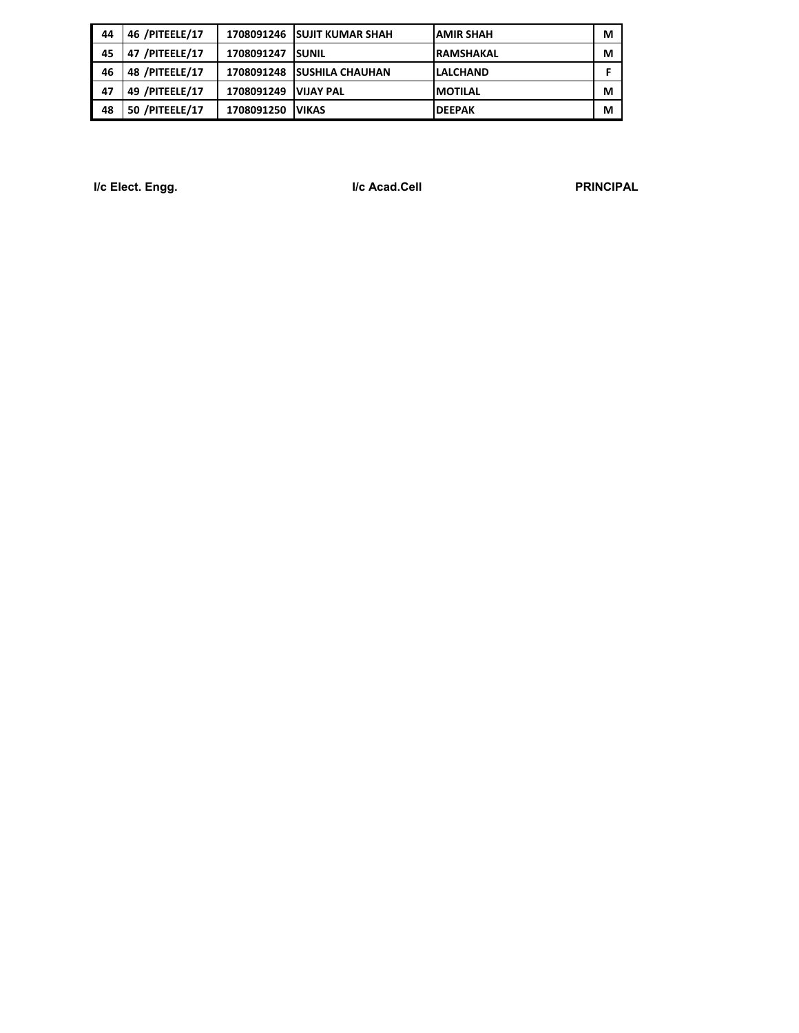| 44 | 46 /PITEELE/17 |            | 1708091246 ISUJIT KUMAR SHAH | <b>JAMIR SHAH</b> | M |
|----|----------------|------------|------------------------------|-------------------|---|
| 45 | 47 /PITEELE/17 | 1708091247 | <b>ISUNIL</b>                | <b>RAMSHAKAL</b>  | M |
| 46 | 48 /PITEELE/17 | 1708091248 | <b>ISUSHILA CHAUHAN</b>      | <b>ILALCHAND</b>  |   |
| 47 | 49 /PITEELE/17 | 1708091249 | <b>VIJAY PAL</b>             | <b>IMOTILAL</b>   | M |
| 48 | 50 /PITEELE/17 | 1708091250 | <b>VIKAS</b>                 | <b>IDEEPAK</b>    | M |

**I/c Elect. Engg. I/c Acad.Cell PRINCIPAL**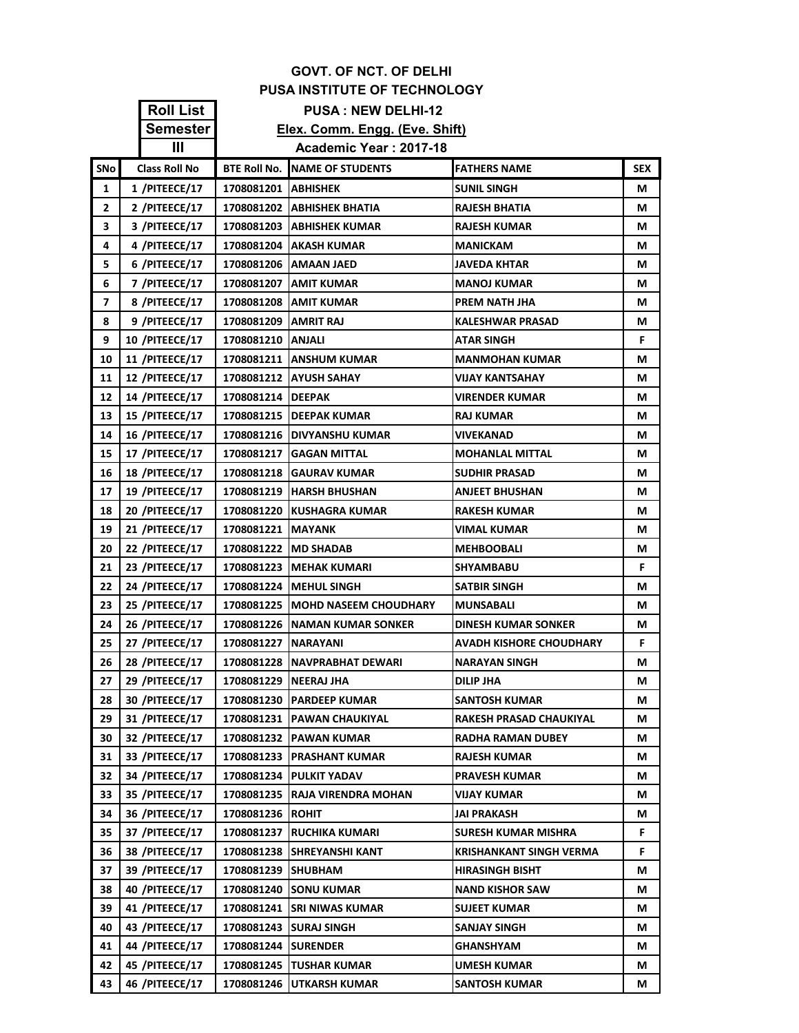|              | <b>GOVT. OF NCT. OF DELHI</b> |                        |                                       |                                |            |  |
|--------------|-------------------------------|------------------------|---------------------------------------|--------------------------------|------------|--|
|              |                               |                        | <b>PUSA INSTITUTE OF TECHNOLOGY</b>   |                                |            |  |
|              | <b>Roll List</b>              |                        | <b>PUSA: NEW DELHI-12</b>             |                                |            |  |
|              | <b>Semester</b>               |                        | Elex. Comm. Engg. (Eve. Shift)        |                                |            |  |
|              | $\mathbf{III}$                |                        | Academic Year: 2017-18                |                                |            |  |
| SNo          | <b>Class Roll No</b>          |                        | <b>BTE ROII NO. INAME OF STUDENTS</b> | <b>FATHERS NAME</b>            | <b>SEX</b> |  |
| 1            | 1 /PITEECE/17                 | 1708081201   ABHISHEK  |                                       | <b>SUNIL SINGH</b>             | М          |  |
| $\mathbf{2}$ | 2 /PITEECE/17                 |                        | 1708081202   ABHISHEK BHATIA          | <b>RAJESH BHATIA</b>           | М          |  |
| 3            | 3 /PITEECE/17                 |                        | 1708081203   ABHISHEK KUMAR           | <b>RAJESH KUMAR</b>            | M          |  |
| 4            | 4 /PITEECE/17                 |                        | 1708081204   AKASH KUMAR              | <b>MANICKAM</b>                | М          |  |
| 5.           | 6 /PITEECE/17                 |                        | 1708081206   AMAAN JAED               | <b>JAVEDA KHTAR</b>            | М          |  |
| 6            | 7 /PITEECE/17                 |                        | 1708081207 AMIT KUMAR                 | <b>MANOJ KUMAR</b>             | М          |  |
| 7            | 8 /PITEECE/17                 |                        | 1708081208   AMIT KUMAR               | PREM NATH JHA                  | М          |  |
| 8            | 9 /PITEECE/17                 | 1708081209   AMRIT RAJ |                                       | <b>KALESHWAR PRASAD</b>        | М          |  |
| 9            | <b>10 /PITEECE/17</b>         | 1708081210   ANJALI    |                                       | <b>ATAR SINGH</b>              | F.         |  |
| 10           | <b>11 /PITEECE/17</b>         |                        | <b>1708081211   ANSHUM KUMAR</b>      | <b>MANMOHAN KUMAR</b>          | М          |  |
| 11           | 12 /PITEECE/17                |                        | 1708081212 AYUSH SAHAY                | <b>VIJAY KANTSAHAY</b>         | М          |  |
| 12           | <b>14 /PITEECE/17</b>         | 1708081214   DEEPAK    |                                       | <b>VIRENDER KUMAR</b>          | М          |  |
| 13           | 15 /PITEECE/17                |                        | 1708081215 DEEPAK KUMAR               | <b>RAJ KUMAR</b>               | М          |  |
| 14           | 16 /PITEECE/17                |                        | 1708081216 IDIVYANSHU KUMAR           | VIVEKANAD                      | М          |  |
| 15           | 17 /PITEECE/17                |                        | 1708081217   GAGAN MITTAL             | <b>MOHANLAL MITTAL</b>         | М          |  |
| 16           | <b>18 /PITEECE/17</b>         |                        | 1708081218 GAURAV KUMAR               | <b>SUDHIR PRASAD</b>           | М          |  |
| 17           | <b>19 /PITEECE/17</b>         |                        | 1708081219   HARSH BHUSHAN            | <b>ANJEET BHUSHAN</b>          | М          |  |
| 18           | <b>20 /PITEECE/17</b>         |                        | 1708081220 KUSHAGRA KUMAR             | <b>RAKESH KUMAR</b>            | М          |  |
| 19           | 21 /PITEECE/17                | 1708081221   MAYANK    |                                       | <b>VIMAL KUMAR</b>             | М          |  |
| 20           | 22 /PITEECE/17                |                        | 1708081222   MD SHADAB                | <b>MEHBOOBALI</b>              | М          |  |
| 21           | 23 /PITEECE/17                |                        | 1708081223   MEHAK KUMARI             | SHYAMBABU                      | F.         |  |
| 22           | 24 /PITEECE/17                |                        | 1708081224 IMEHUL SINGH               | <b>SATBIR SINGH</b>            | М          |  |
| 23           | 25 /PITEECE/17                |                        | 1708081225 MOHD NASEEM CHOUDHARY      | MUNSABALI                      | М          |  |
| 24           | 26 /PITEECE/17                |                        | 1708081226 NAMAN KUMAR SONKER         | <b>DINESH KUMAR SONKER</b>     | М          |  |
| 25           | 27 /PITEECE/17                | 1708081227 NARAYANI    |                                       | <b>AVADH KISHORE CHOUDHARY</b> | F.         |  |
| 26           | 28 /PITEECE/17                |                        | 1708081228   NAVPRABHAT DEWARI        | <b>NARAYAN SINGH</b>           | М          |  |
| 27           | 29 /PITEECE/17                | 1708081229 NEERAJ JHA  |                                       | DILIP JHA                      | M          |  |
| 28           | <b>30 /PITEECE/17</b>         |                        | 1708081230   PARDEEP KUMAR            | <b>SANTOSH KUMAR</b>           | М          |  |
| 29           | 31 /PITEECE/17                |                        | 1708081231   PAWAN CHAUKIYAL          | RAKESH PRASAD CHAUKIYAL        | М          |  |
| 30           | 32 /PITEECE/17                |                        | 1708081232 PAWAN KUMAR                | RADHA RAMAN DUBEY              | М          |  |
| 31           | 33 /PITEECE/17                |                        | 1708081233 PRASHANT KUMAR             | <b>RAJESH KUMAR</b>            | М          |  |
| 32           | 34 /PITEECE/17                |                        | 1708081234 PULKIT YADAV               | <b>PRAVESH KUMAR</b>           | М          |  |
| 33           | <b>35 /PITEECE/17</b>         |                        | 1708081235 RAJA VIRENDRA MOHAN        | VIJAY KUMAR                    | М          |  |
| 34           | <b>36 /PITEECE/17</b>         | 1708081236   ROHIT     |                                       | JAI PRAKASH                    | M          |  |
| 35           | 37 /PITEECE/17                |                        | 1708081237 RUCHIKA KUMARI             | SURESH KUMAR MISHRA            | F.         |  |
| 36           | <b>38 /PITEECE/17</b>         |                        | 1708081238 SHREYANSHI KANT            | <b>KRISHANKANT SINGH VERMA</b> | F.         |  |
| 37           | <b>39 /PITEECE/17</b>         | 1708081239 SHUBHAM     |                                       | <b>HIRASINGH BISHT</b>         | М          |  |
| 38           | 40 /PITEECE/17                |                        | 1708081240 SONU KUMAR                 | <b>NAND KISHOR SAW</b>         | М          |  |
| 39           | 41 /PITEECE/17                |                        | 1708081241   SRI NIWAS KUMAR          | <b>SUJEET KUMAR</b>            | M          |  |
| 40           | 43 /PITEECE/17                |                        | 1708081243   SURAJ SINGH              | <b>SANJAY SINGH</b>            | М          |  |
| 41           | 44 /PITEECE/17                | 1708081244 SURENDER    |                                       | GHANSHYAM                      | M          |  |
| 42           | 45 /PITEECE/17                |                        | 1708081245 TUSHAR KUMAR               | <b>UMESH KUMAR</b>             | М          |  |
| 43           | 46 /PITEECE/17                |                        | 1708081246 UTKARSH KUMAR              | <b>SANTOSH KUMAR</b>           | М          |  |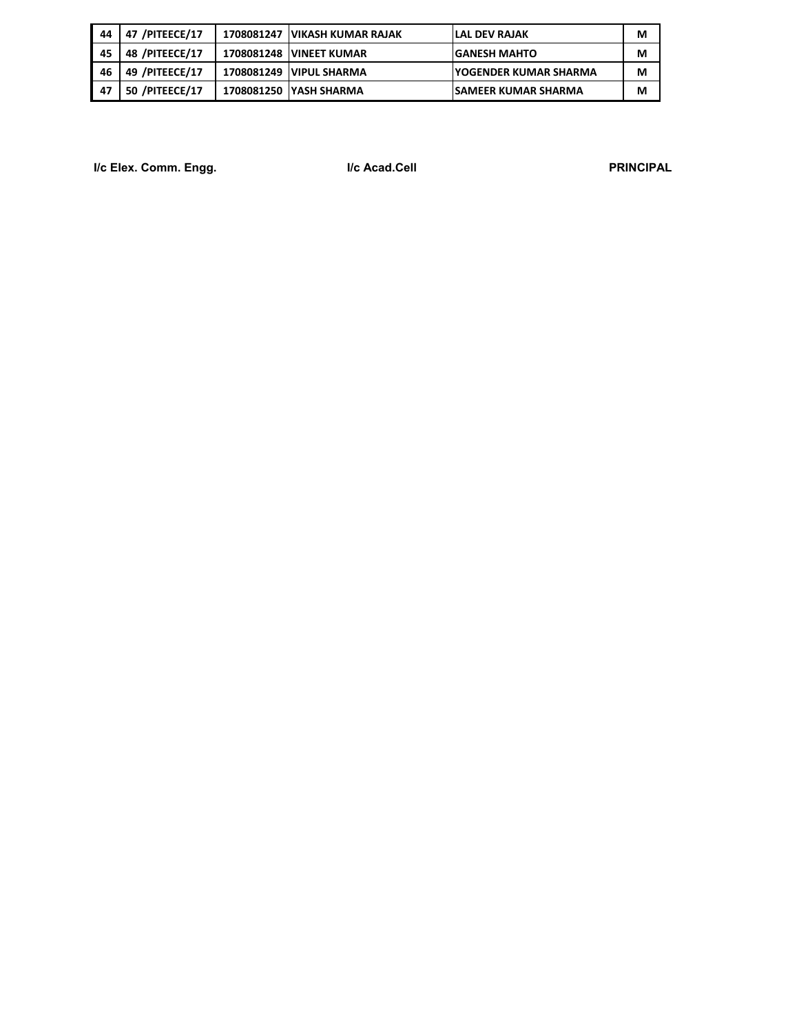| -44 | 47 /PITEECE/17 | 1708081247   VIKASH KUMAR RAJAK | ILAL DEV RAJAK                | M |
|-----|----------------|---------------------------------|-------------------------------|---|
| -45 | 48 /PITEECE/17 | <b>1708081248 VINEET KUMAR</b>  | <b>GANESH MAHTO</b>           | М |
| -46 | 49 /PITEECE/17 | 1708081249 VIPUL SHARMA         | <b>IYOGENDER KUMAR SHARMA</b> | М |
| -47 | 50 /PITEECE/17 | 1708081250 YASH SHARMA          | <b>ISAMEER KUMAR SHARMA</b>   | М |

**I/c Elex. Comm. Engg. I/c Acad.Cell PRINCIPAL**